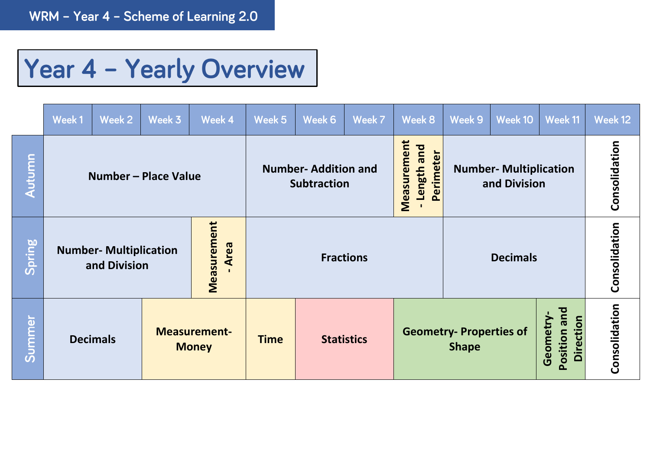## Year 4 - Yearly Overview

|        | Week 1                                                               | Week 2                                                 | Week 3 | Week 4      | Week 5 | Week 6                                           | Week 7           | Week 8                                         | Week 9                                        | Week 10                                      | Week 11       | Week 12       |
|--------|----------------------------------------------------------------------|--------------------------------------------------------|--------|-------------|--------|--------------------------------------------------|------------------|------------------------------------------------|-----------------------------------------------|----------------------------------------------|---------------|---------------|
| Autumn |                                                                      | Number – Place Value                                   |        |             |        | <b>Number-Addition and</b><br><b>Subtraction</b> |                  | Measurement<br>Length and<br>Perimeter         | <b>Number- Multiplication</b><br>and Division |                                              |               | Consolidation |
| Spring | Measurement<br>Area<br><b>Number- Multiplication</b><br>and Division |                                                        |        |             |        |                                                  | <b>Fractions</b> |                                                | <b>Decimals</b>                               | Consolidation                                |               |               |
| Summer |                                                                      | <b>Measurement-</b><br><b>Decimals</b><br><b>Money</b> |        | <b>Time</b> |        | <b>Statistics</b>                                |                  | <b>Geometry- Properties of</b><br><b>Shape</b> |                                               | Position and<br><b>Direction</b><br>Geometry | Consolidation |               |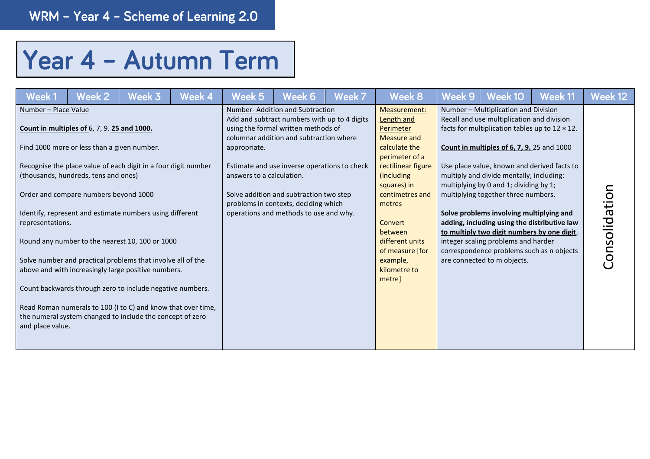## Year 4 - Autumn Term

| Week 1                                                       | Week 2                                                                                                                                                                            | Week 3                                                                                                                                                                                                                                                                                                                                                                                                                                                                                        | Week 4 | Week 5                                    | Week 6                                                                                                                                                                                                                                                                                                                                         | Week 7 | Week 8                                                                                                                                                                                                                                                                       | Week 9 | Week 10                                                                                                                                                                                                                                                                                                                                                                                                                                                                                                                                                                                                                                     | Week 11 | Week 12       |
|--------------------------------------------------------------|-----------------------------------------------------------------------------------------------------------------------------------------------------------------------------------|-----------------------------------------------------------------------------------------------------------------------------------------------------------------------------------------------------------------------------------------------------------------------------------------------------------------------------------------------------------------------------------------------------------------------------------------------------------------------------------------------|--------|-------------------------------------------|------------------------------------------------------------------------------------------------------------------------------------------------------------------------------------------------------------------------------------------------------------------------------------------------------------------------------------------------|--------|------------------------------------------------------------------------------------------------------------------------------------------------------------------------------------------------------------------------------------------------------------------------------|--------|---------------------------------------------------------------------------------------------------------------------------------------------------------------------------------------------------------------------------------------------------------------------------------------------------------------------------------------------------------------------------------------------------------------------------------------------------------------------------------------------------------------------------------------------------------------------------------------------------------------------------------------------|---------|---------------|
| Number - Place Value<br>representations.<br>and place value. | <b>Count in multiples of 6, 7, 9.25 and 1000.</b><br>Find 1000 more or less than a given number.<br>(thousands, hundreds, tens and ones)<br>Order and compare numbers beyond 1000 | Recognise the place value of each digit in a four digit number<br>Identify, represent and estimate numbers using different<br>Round any number to the nearest 10, 100 or 1000<br>Solve number and practical problems that involve all of the<br>above and with increasingly large positive numbers.<br>Count backwards through zero to include negative numbers.<br>Read Roman numerals to 100 (I to C) and know that over time,<br>the numeral system changed to include the concept of zero |        | appropriate.<br>answers to a calculation. | Number-Addition and Subtraction<br>Add and subtract numbers with up to 4 digits<br>using the formal written methods of<br>columnar addition and subtraction where<br>Estimate and use inverse operations to check<br>Solve addition and subtraction two step<br>problems in contexts, deciding which<br>operations and methods to use and why. |        | Measurement:<br>Length and<br>Perimeter<br>Measure and<br>calculate the<br>perimeter of a<br>rectilinear figure<br>(including)<br>squares) in<br>centimetres and<br>metres<br>Convert<br>between<br>different units<br>of measure [for<br>example,<br>kilometre to<br>metre] |        | Number - Multiplication and Division<br>Recall and use multiplication and division<br>facts for multiplication tables up to $12 \times 12$ .<br><b>Count in multiples of 6, 7, 9.</b> 25 and 1000<br>Use place value, known and derived facts to<br>multiply and divide mentally, including:<br>multiplying by 0 and 1; dividing by 1;<br>multiplying together three numbers.<br>Solve problems involving multiplying and<br>adding, including using the distributive law<br>to multiply two digit numbers by one digit,<br>integer scaling problems and harder<br>correspondence problems such as n objects<br>are connected to m objects. |         | Consolidation |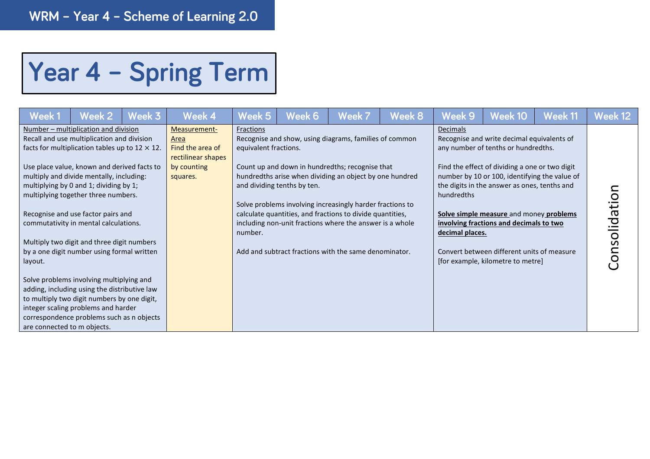## Year 4 - Spring Term

| Week 1                                 | Week 2                                                                                                                                                                                                                                                                                                                                                                                                                                                                                                                                                                                                                                                                                                                             | Week 3 | Week 4                                                                                    | Week 5                                        | Week 6                      | Week 7                                                                                                                                                                                                                                                                                                                                                                                                              | <b>Week 8</b> | Week 9                                           | Week 10                                                                                                                                                                                                                                                                                                                                                                                                       | Week 11 | Week 12       |
|----------------------------------------|------------------------------------------------------------------------------------------------------------------------------------------------------------------------------------------------------------------------------------------------------------------------------------------------------------------------------------------------------------------------------------------------------------------------------------------------------------------------------------------------------------------------------------------------------------------------------------------------------------------------------------------------------------------------------------------------------------------------------------|--------|-------------------------------------------------------------------------------------------|-----------------------------------------------|-----------------------------|---------------------------------------------------------------------------------------------------------------------------------------------------------------------------------------------------------------------------------------------------------------------------------------------------------------------------------------------------------------------------------------------------------------------|---------------|--------------------------------------------------|---------------------------------------------------------------------------------------------------------------------------------------------------------------------------------------------------------------------------------------------------------------------------------------------------------------------------------------------------------------------------------------------------------------|---------|---------------|
| layout.<br>are connected to m objects. | Number – multiplication and division<br>Recall and use multiplication and division<br>facts for multiplication tables up to $12 \times 12$ .<br>Use place value, known and derived facts to<br>multiply and divide mentally, including:<br>multiplying by 0 and 1; dividing by 1;<br>multiplying together three numbers.<br>Recognise and use factor pairs and<br>commutativity in mental calculations.<br>Multiply two digit and three digit numbers<br>by a one digit number using formal written<br>Solve problems involving multiplying and<br>adding, including using the distributive law<br>to multiply two digit numbers by one digit,<br>integer scaling problems and harder<br>correspondence problems such as n objects |        | Measurement-<br>Area<br>Find the area of<br>rectilinear shapes<br>by counting<br>squares. | Fractions<br>equivalent fractions.<br>number. | and dividing tenths by ten. | Recognise and show, using diagrams, families of common<br>Count up and down in hundredths; recognise that<br>hundredths arise when dividing an object by one hundred<br>Solve problems involving increasingly harder fractions to<br>calculate quantities, and fractions to divide quantities,<br>including non-unit fractions where the answer is a whole<br>Add and subtract fractions with the same denominator. |               | <b>Decimals</b><br>hundredths<br>decimal places. | Recognise and write decimal equivalents of<br>any number of tenths or hundredths.<br>Find the effect of dividing a one or two digit<br>number by 10 or 100, identifying the value of<br>the digits in the answer as ones, tenths and<br>Solve simple measure and money problems<br>involving fractions and decimals to two<br>Convert between different units of measure<br>[for example, kilometre to metre] |         | Consolidation |